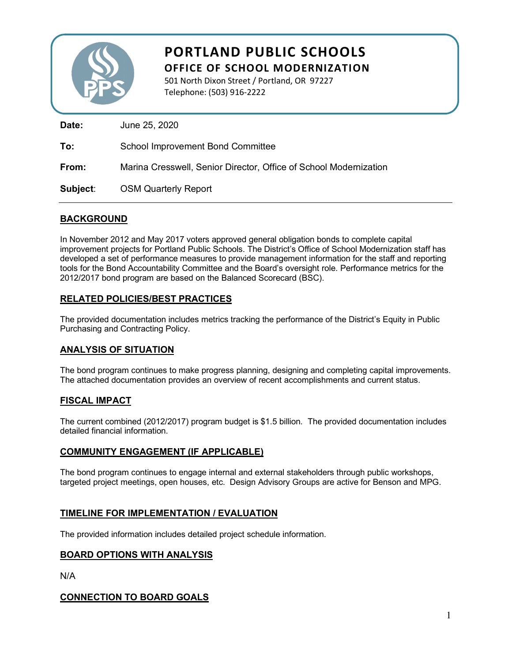

# **PORTLAND PUBLIC SCHOOLS**

**OFFICE OF SCHOOL MODERNIZATION**

501 North Dixon Street / Portland, OR 97227 Telephone: (503) 916-2222

**Date:** June 25, 2020 **To:** School Improvement Bond Committee **From:** Marina Cresswell, Senior Director, Office of School Modernization **Subject**: OSM Quarterly Report

### **BACKGROUND**

In November 2012 and May 2017 voters approved general obligation bonds to complete capital improvement projects for Portland Public Schools. The District's Office of School Modernization staff has developed a set of performance measures to provide management information for the staff and reporting tools for the Bond Accountability Committee and the Board's oversight role. Performance metrics for the 2012/2017 bond program are based on the Balanced Scorecard (BSC).

## **RELATED POLICIES/BEST PRACTICES**

The provided documentation includes metrics tracking the performance of the District's Equity in Public Purchasing and Contracting Policy.

## **ANALYSIS OF SITUATION**

The bond program continues to make progress planning, designing and completing capital improvements. The attached documentation provides an overview of recent accomplishments and current status.

#### **FISCAL IMPACT**

The current combined (2012/2017) program budget is \$1.5 billion. The provided documentation includes detailed financial information.

#### **COMMUNITY ENGAGEMENT (IF APPLICABLE)**

The bond program continues to engage internal and external stakeholders through public workshops, targeted project meetings, open houses, etc. Design Advisory Groups are active for Benson and MPG.

#### **TIMELINE FOR IMPLEMENTATION / EVALUATION**

The provided information includes detailed project schedule information.

#### **BOARD OPTIONS WITH ANALYSIS**

N/A

#### **CONNECTION TO BOARD GOALS**